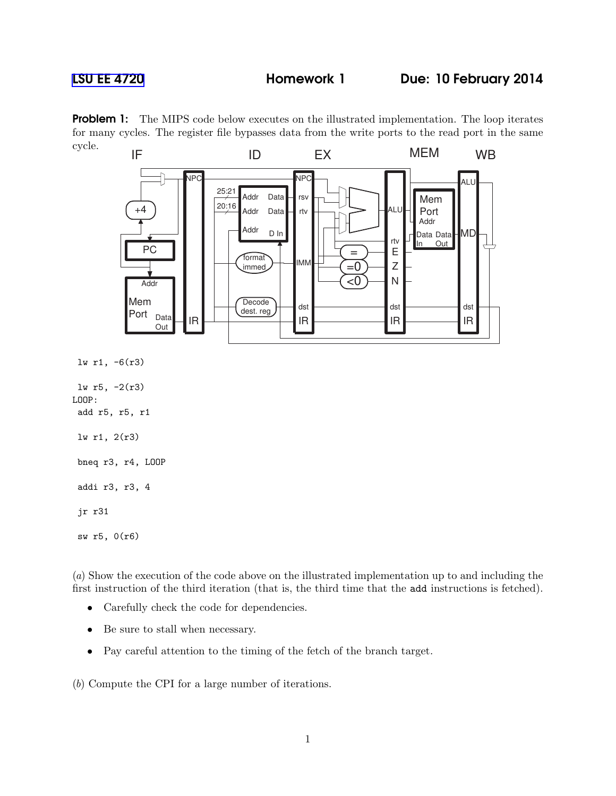## [LSU EE 4720](http://www.ece.lsu.edu/ee4720/) **Homework 1** Due: 10 February 2014

**Problem 1:** The MIPS code below executes on the illustrated implementation. The loop iterates for many cycles. The register file bypasses data from the write ports to the read port in the same cycle.



addi r3, r3, 4

jr r31

```
sw r5, 0(r6)
```
(a) Show the execution of the code above on the illustrated implementation up to and including the first instruction of the third iteration (that is, the third time that the add instructions is fetched).

- Carefully check the code for dependencies.
- Be sure to stall when necessary.
- Pay careful attention to the timing of the fetch of the branch target.

(b) Compute the CPI for a large number of iterations.